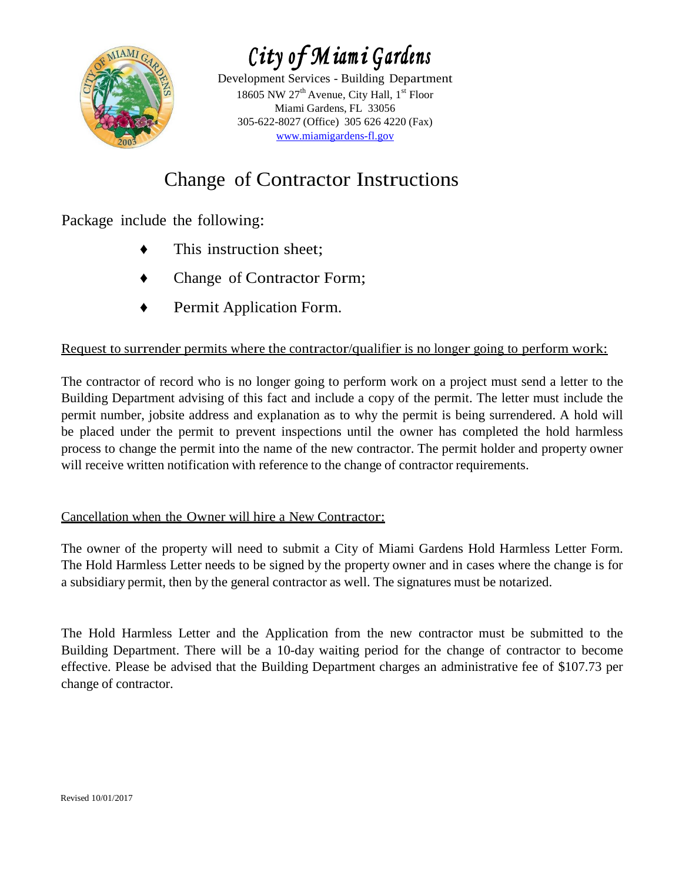

*City of Miami Gardens* 

Development Services - Building Department 18605 NW  $27<sup>th</sup>$  Avenue, City Hall,  $1<sup>st</sup>$  Floor Miami Gardens, FL 33056 305-622-8027 (Office) 305 626 4220 (Fax) [www.miamigardens-fl.gov](http://www.miamigardens-fl.gov/)

## Change of Contractor Instructions

Package include the following:

- This instruction sheet;
- Change of Contractor Form;
- Permit Application Form.

## Request to surrender permits where the contractor/qualifier is no longer going to perform work:

The contractor of record who is no longer going to perform work on a project must send a letter to the Building Department advising of this fact and include a copy of the permit. The letter must include the permit number, jobsite address and explanation as to why the permit is being surrendered. A hold will be placed under the permit to prevent inspections until the owner has completed the hold harmless process to change the permit into the name of the new contractor. The permit holder and property owner will receive written notification with reference to the change of contractor requirements.

## Cancellation when the Owner will hire a New Contractor:

The owner of the property will need to submit a City of Miami Gardens Hold Harmless Letter Form. The Hold Harmless Letter needs to be signed by the property owner and in cases where the change is for a subsidiary permit, then by the general contractor as well. The signatures must be notarized.

The Hold Harmless Letter and the Application from the new contractor must be submitted to the Building Department. There will be a 10-day waiting period for the change of contractor to become effective. Please be advised that the Building Department charges an administrative fee of \$107.73 per change of contractor.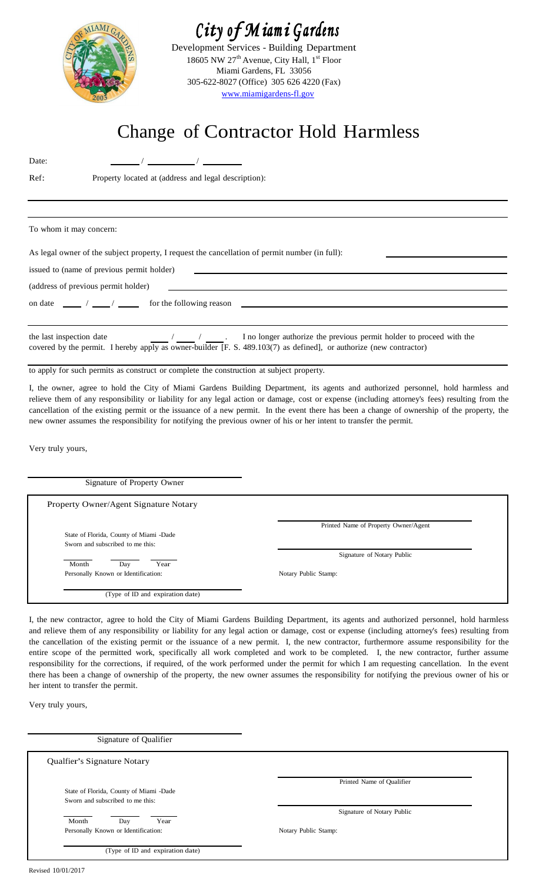

# *City of Miami Gardens*

Development Services - Building Department 18605 NW 27<sup>th</sup> Avenue, City Hall,  $1<sup>st</sup>$  Floor Miami Gardens, FL 33056 305-622-8027 (Office) 305 626 4220 (Fax) [www.miamigardens-fl.gov](http://www.miamigardens-fl.gov/)

# Change of Contractor Hold Harmless

Date:  $\frac{1}{2}$  /  $\frac{1}{2}$  /  $\frac{1}{2}$  /  $\frac{1}{2}$ 

Ref: Property located at (address and legal description):

To whom it may concern:

As legal owner of the subject property, I request the cancellation of permit number (in full):

issued to (name of previous permit holder)

(address of previous permit holder)

on date  $\frac{1}{\sqrt{2\pi}}$  /  $\frac{1}{\sqrt{2\pi}}$  for the following reason

the last inspection date / / . I no longer authorize the previous permit holder to proceed with the covered by the permit. I hereby apply as owner-builder [F. S. 489.103(7) as defined], or authorize (new contractor)

to apply for such permits as construct or complete the construction at subject property.

I, the owner, agree to hold the City of Miami Gardens Building Department, its agents and authorized personnel, hold harmless and relieve them of any responsibility or liability for any legal action or damage, cost or expense (including attorney's fees) resulting from the cancellation of the existing permit or the issuance of a new permit. In the event there has been a change of ownership of the property, the new owner assumes the responsibility for notifying the previous owner of his or her intent to transfer the permit.

Very truly yours,

| Signature of Property Owner                                                 |                                      |
|-----------------------------------------------------------------------------|--------------------------------------|
| Property Owner/Agent Signature Notary                                       |                                      |
| State of Florida, County of Miami -Dade<br>Sworn and subscribed to me this: | Printed Name of Property Owner/Agent |
| Month<br>Year<br>Day                                                        | Signature of Notary Public           |
| Personally Known or Identification:                                         | Notary Public Stamp:                 |
| (Type of ID and expiration date)                                            |                                      |

I, the new contractor, agree to hold the City of Miami Gardens Building Department, its agents and authorized personnel, hold harmless and relieve them of any responsibility or liability for any legal action or damage, cost or expense (including attorney's fees) resulting from the cancellation of the existing permit or the issuance of a new permit. I, the new contractor, furthermore assume responsibility for the entire scope of the permitted work, specifically all work completed and work to be completed. I, the new contractor, further assume responsibility for the corrections, if required, of the work performed under the permit for which I am requesting cancellation. In the event there has been a change of ownership of the property, the new owner assumes the responsibility for notifying the previous owner of his or her intent to transfer the permit.

Very truly yours,

| Signature of Qualifier                                                      |                            |
|-----------------------------------------------------------------------------|----------------------------|
| Qualfier's Signature Notary                                                 |                            |
| State of Florida, County of Miami -Dade<br>Sworn and subscribed to me this: | Printed Name of Qualifier  |
|                                                                             | Signature of Notary Public |
| Month<br>Year<br>Day<br>Personally Known or Identification:                 | Notary Public Stamp:       |
| (Type of ID and expiration date)                                            |                            |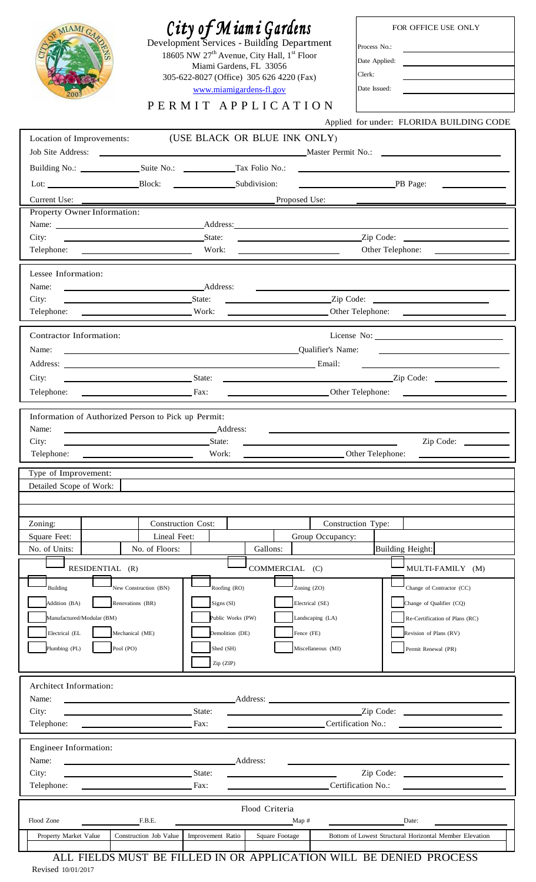| City of Miami Gardens<br>FOR OFFICE USE ONLY<br>IAMI<br>Development Services - Building Department<br>Process No.:<br>18605 NW 27 <sup>th</sup> Avenue, City Hall, 1 <sup>st</sup> Floor<br>Date Applied:<br><u> 1989 - Jan Samuel Barbara, politik e</u> ta p<br>Miami Gardens, FL 33056<br>Clerk:<br>305-622-8027 (Office) 305 626 4220 (Fax)<br>Date Issued:<br>www.miamigardens-fl.gov<br>PERMIT APPLICATION<br>Applied for under: FLORIDA BUILDING CODE |                                                                      |                   |                                |                                                                                                                      |                                                            |
|--------------------------------------------------------------------------------------------------------------------------------------------------------------------------------------------------------------------------------------------------------------------------------------------------------------------------------------------------------------------------------------------------------------------------------------------------------------|----------------------------------------------------------------------|-------------------|--------------------------------|----------------------------------------------------------------------------------------------------------------------|------------------------------------------------------------|
| Location of Improvements: (USE BLACK OR BLUE INK ONLY)                                                                                                                                                                                                                                                                                                                                                                                                       |                                                                      |                   |                                |                                                                                                                      |                                                            |
|                                                                                                                                                                                                                                                                                                                                                                                                                                                              |                                                                      |                   |                                | Job Site Address: Naster Permit No.: Naster Permit No.: Naster Permit No.: Naster Permit No.: Naster Permit No       |                                                            |
|                                                                                                                                                                                                                                                                                                                                                                                                                                                              |                                                                      |                   |                                |                                                                                                                      |                                                            |
|                                                                                                                                                                                                                                                                                                                                                                                                                                                              |                                                                      |                   |                                | PB Page:                                                                                                             |                                                            |
| Current Use:                                                                                                                                                                                                                                                                                                                                                                                                                                                 | Proposed Use:                                                        |                   |                                | <u> 1970 - Jan Barbara Barat, prima prima prima prima prima prima prima prima prima prima prima prima prima prim</u> |                                                            |
| Property Owner Information:                                                                                                                                                                                                                                                                                                                                                                                                                                  |                                                                      |                   |                                |                                                                                                                      |                                                            |
| City:                                                                                                                                                                                                                                                                                                                                                                                                                                                        |                                                                      |                   |                                |                                                                                                                      |                                                            |
|                                                                                                                                                                                                                                                                                                                                                                                                                                                              |                                                                      |                   |                                | Other Telephone:                                                                                                     | <u> Alexandria de la contrada de la contrada de la con</u> |
|                                                                                                                                                                                                                                                                                                                                                                                                                                                              |                                                                      |                   |                                |                                                                                                                      |                                                            |
| Lessee Information:<br>Name:                                                                                                                                                                                                                                                                                                                                                                                                                                 | Address:                                                             |                   |                                |                                                                                                                      |                                                            |
| City:                                                                                                                                                                                                                                                                                                                                                                                                                                                        | State:                                                               |                   |                                | $\sqrt{2ip \text{ Code: }}$                                                                                          |                                                            |
|                                                                                                                                                                                                                                                                                                                                                                                                                                                              |                                                                      |                   |                                |                                                                                                                      |                                                            |
| Contractor Information:                                                                                                                                                                                                                                                                                                                                                                                                                                      |                                                                      |                   |                                |                                                                                                                      |                                                            |
| Name:                                                                                                                                                                                                                                                                                                                                                                                                                                                        | Qualifier's Name:                                                    |                   |                                | <u> 1989 - Andrea Stadt Britain, amerikansk politik (</u>                                                            |                                                            |
|                                                                                                                                                                                                                                                                                                                                                                                                                                                              |                                                                      |                   |                                | <u> 1989 - John Stein, Amerikaansk politiker (</u>                                                                   |                                                            |
| City:                                                                                                                                                                                                                                                                                                                                                                                                                                                        | State:                                                               |                   |                                | $\sqrt{2ip \text{ Code}}$ :                                                                                          |                                                            |
| Telephone:                                                                                                                                                                                                                                                                                                                                                                                                                                                   | $\overline{\phantom{a}}$ Fax:                                        |                   | Other Telephone:               |                                                                                                                      |                                                            |
| Name:<br>Address:<br>City:<br>State:<br><u> 1989 - Johann Barn, amerikansk politiker (</u><br>Work:<br>Other Telephone:<br>Telephone:<br>Type of Improvement:<br>Detailed Scope of Work:                                                                                                                                                                                                                                                                     |                                                                      |                   |                                |                                                                                                                      |                                                            |
| Zoning:                                                                                                                                                                                                                                                                                                                                                                                                                                                      | <b>Construction Cost:</b>                                            |                   |                                | Construction Type:                                                                                                   |                                                            |
| Square Feet:                                                                                                                                                                                                                                                                                                                                                                                                                                                 | Lineal Feet:                                                         |                   | Group Occupancy:               |                                                                                                                      |                                                            |
| No. of Units:                                                                                                                                                                                                                                                                                                                                                                                                                                                | No. of Floors:                                                       | Gallons:          |                                |                                                                                                                      |                                                            |
|                                                                                                                                                                                                                                                                                                                                                                                                                                                              |                                                                      |                   |                                | Building Height:                                                                                                     |                                                            |
| RESIDENTIAL (R)                                                                                                                                                                                                                                                                                                                                                                                                                                              |                                                                      |                   | COMMERCIAL<br>(C)              | MULTI-FAMILY (M)                                                                                                     |                                                            |
| <b>Building</b>                                                                                                                                                                                                                                                                                                                                                                                                                                              | New Construction (BN)                                                | Roofing (RO)      |                                | Change of Contractor (CC)                                                                                            |                                                            |
| Addition (BA)                                                                                                                                                                                                                                                                                                                                                                                                                                                | Renovations (BR)                                                     | Signs (SI)        | Zoning (ZO)<br>Electrical (SE) | Change of Qualifier (CQ)                                                                                             |                                                            |
| Manufactured/Modular (BM)                                                                                                                                                                                                                                                                                                                                                                                                                                    |                                                                      | Public Works (PW) | Landscaping (LA)               | Re-Certification of Plans (RC)                                                                                       |                                                            |
| Electrical (EL                                                                                                                                                                                                                                                                                                                                                                                                                                               | Mechanical (ME)                                                      | Demolition (DE)   | Fence (FE)                     | Revision of Plans (RV)                                                                                               |                                                            |
| Pool (PO)<br>Plumbing (PL)                                                                                                                                                                                                                                                                                                                                                                                                                                   |                                                                      | Shed (SH)         | Miscellaneous (MI)             | Permit Renewal (PR)                                                                                                  |                                                            |
|                                                                                                                                                                                                                                                                                                                                                                                                                                                              |                                                                      | Zip (ZIP)         |                                |                                                                                                                      |                                                            |
| <b>Architect Information:</b>                                                                                                                                                                                                                                                                                                                                                                                                                                |                                                                      |                   |                                |                                                                                                                      |                                                            |
| Name:                                                                                                                                                                                                                                                                                                                                                                                                                                                        |                                                                      |                   | Address:                       |                                                                                                                      |                                                            |
| City:                                                                                                                                                                                                                                                                                                                                                                                                                                                        | State:                                                               |                   |                                |                                                                                                                      |                                                            |
| Telephone:                                                                                                                                                                                                                                                                                                                                                                                                                                                   | <b>Example 2</b> Fax:                                                |                   |                                | Certification No.:                                                                                                   |                                                            |
| <b>Engineer Information:</b>                                                                                                                                                                                                                                                                                                                                                                                                                                 |                                                                      |                   |                                |                                                                                                                      |                                                            |
| Name:                                                                                                                                                                                                                                                                                                                                                                                                                                                        |                                                                      | Address:          |                                |                                                                                                                      |                                                            |
| City:<br>Telephone:                                                                                                                                                                                                                                                                                                                                                                                                                                          | State:<br><u> 1980 - Johann Barnett, fransk kongresu</u><br>$-Fax$ : |                   |                                | Zip Code:<br>Certification No.:                                                                                      |                                                            |
|                                                                                                                                                                                                                                                                                                                                                                                                                                                              |                                                                      |                   |                                |                                                                                                                      |                                                            |
| Flood Zone                                                                                                                                                                                                                                                                                                                                                                                                                                                   | F.B.E.                                                               | Flood Criteria    | Map #                          | Date:                                                                                                                |                                                            |
| Property Market Value                                                                                                                                                                                                                                                                                                                                                                                                                                        | Construction Job Value                                               | Improvement Ratio | Square Footage                 | Bottom of Lowest Structural Horizontal Member Elevation                                                              |                                                            |

Revised 10/01/2017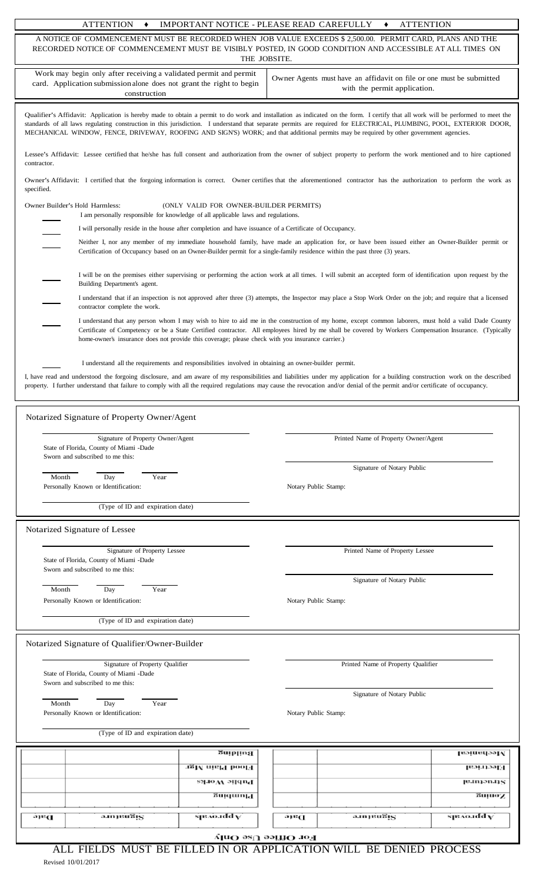|  | <b>ATTENTION</b> | IMPORTANT NOTICE - PLEASE READ CAREFULLY |  | <b>ATTENTION</b> |
|--|------------------|------------------------------------------|--|------------------|
|--|------------------|------------------------------------------|--|------------------|

| A NOTICE OF COMMENCEMENT MUST BE RECORDED WHEN JOB VALUE EXCEEDS \$ 2,500.00. PERMIT CARD, PLANS AND THE<br>RECORDED NOTICE OF COMMENCEMENT MUST BE VISIBLY POSTED, IN GOOD CONDITION AND ACCESSIBLE AT ALL TIMES ON<br>THE JOBSITE.                                                                                                                                                                                                                                                              |                                                                                                                                                                                                                                                                                                                |  |  |  |
|---------------------------------------------------------------------------------------------------------------------------------------------------------------------------------------------------------------------------------------------------------------------------------------------------------------------------------------------------------------------------------------------------------------------------------------------------------------------------------------------------|----------------------------------------------------------------------------------------------------------------------------------------------------------------------------------------------------------------------------------------------------------------------------------------------------------------|--|--|--|
| Work may begin only after receiving a validated permit and permit<br>card. Application submission alone does not grant the right to begin<br>construction                                                                                                                                                                                                                                                                                                                                         | Owner Agents must have an affidavit on file or one must be submitted<br>with the permit application.                                                                                                                                                                                                           |  |  |  |
| Qualifier's Affidavit: Application is hereby made to obtain a permit to do work and installation as indicated on the form. I certify that all work will be performed to meet the<br>standards of all laws regulating construction in this jurisdiction. I understand that separate permits are required for ELECTRICAL, PLUMBING, POOL, EXTERIOR DOOR,<br>MECHANICAL WINDOW, FENCE, DRIVEWAY, ROOFING AND SIGN'S) WORK; and that additional permits may be required by other government agencies. |                                                                                                                                                                                                                                                                                                                |  |  |  |
| Lessee's Affidavit: Lessee certified that he/she has full consent and authorization from the owner of subject property to perform the work mentioned and to hire captioned<br>contractor.                                                                                                                                                                                                                                                                                                         |                                                                                                                                                                                                                                                                                                                |  |  |  |
| specified.                                                                                                                                                                                                                                                                                                                                                                                                                                                                                        | Owner's Affidavit: I certified that the forgoing information is correct. Owner certifies that the aforementioned contractor has the authorization to perform the work as                                                                                                                                       |  |  |  |
| Owner Builder's Hold Harmless:<br>(ONLY VALID FOR OWNER-BUILDER PERMITS)<br>I am personally responsible for knowledge of all applicable laws and regulations.                                                                                                                                                                                                                                                                                                                                     |                                                                                                                                                                                                                                                                                                                |  |  |  |
| I will personally reside in the house after completion and have issuance of a Certificate of Occupancy.                                                                                                                                                                                                                                                                                                                                                                                           |                                                                                                                                                                                                                                                                                                                |  |  |  |
| Certification of Occupancy based on an Owner-Builder permit for a single-family residence within the past three (3) years.                                                                                                                                                                                                                                                                                                                                                                        | Neither I, nor any member of my immediate household family, have made an application for, or have been issued either an Owner-Builder permit or                                                                                                                                                                |  |  |  |
| Building Department's agent.                                                                                                                                                                                                                                                                                                                                                                                                                                                                      | I will be on the premises either supervising or performing the action work at all times. I will submit an accepted form of identification upon request by the                                                                                                                                                  |  |  |  |
| contractor complete the work.                                                                                                                                                                                                                                                                                                                                                                                                                                                                     | I understand that if an inspection is not approved after three (3) attempts, the Inspector may place a Stop Work Order on the job; and require that a licensed                                                                                                                                                 |  |  |  |
| home-owner's insurance does not provide this coverage; please check with you insurance carrier.)                                                                                                                                                                                                                                                                                                                                                                                                  | I understand that any person whom I may wish to hire to aid me in the construction of my home, except common laborers, must hold a valid Dade County<br>Certificate of Competency or be a State Certified contractor. All employees hired by me shall be covered by Workers Compensation Insurance. (Typically |  |  |  |
|                                                                                                                                                                                                                                                                                                                                                                                                                                                                                                   |                                                                                                                                                                                                                                                                                                                |  |  |  |
| I understand all the requirements and responsibilities involved in obtaining an owner-builder permit.                                                                                                                                                                                                                                                                                                                                                                                             |                                                                                                                                                                                                                                                                                                                |  |  |  |
| property. I further understand that failure to comply with all the required regulations may cause the revocation and/or denial of the permit and/or certificate of occupancy.                                                                                                                                                                                                                                                                                                                     | I, have read and understood the forgoing disclosure, and am aware of my responsibilities and liabilities under my application for a building construction work on the described                                                                                                                                |  |  |  |
|                                                                                                                                                                                                                                                                                                                                                                                                                                                                                                   |                                                                                                                                                                                                                                                                                                                |  |  |  |
| Notarized Signature of Property Owner/Agent                                                                                                                                                                                                                                                                                                                                                                                                                                                       |                                                                                                                                                                                                                                                                                                                |  |  |  |
| Signature of Property Owner/Agent                                                                                                                                                                                                                                                                                                                                                                                                                                                                 | Printed Name of Property Owner/Agent                                                                                                                                                                                                                                                                           |  |  |  |
| State of Florida, County of Miami -Dade<br>Sworn and subscribed to me this:                                                                                                                                                                                                                                                                                                                                                                                                                       |                                                                                                                                                                                                                                                                                                                |  |  |  |
| Month<br>Year                                                                                                                                                                                                                                                                                                                                                                                                                                                                                     | Signature of Notary Public                                                                                                                                                                                                                                                                                     |  |  |  |
| Day<br>Personally Known or Identification:                                                                                                                                                                                                                                                                                                                                                                                                                                                        | Notary Public Stamp:                                                                                                                                                                                                                                                                                           |  |  |  |
| (Type of ID and expiration date)                                                                                                                                                                                                                                                                                                                                                                                                                                                                  |                                                                                                                                                                                                                                                                                                                |  |  |  |
| Notarized Signature of Lessee                                                                                                                                                                                                                                                                                                                                                                                                                                                                     |                                                                                                                                                                                                                                                                                                                |  |  |  |
| Signature of Property Lessee<br>State of Florida, County of Miami -Dade<br>Sworn and subscribed to me this:                                                                                                                                                                                                                                                                                                                                                                                       | Printed Name of Property Lessee                                                                                                                                                                                                                                                                                |  |  |  |
|                                                                                                                                                                                                                                                                                                                                                                                                                                                                                                   | Signature of Notary Public                                                                                                                                                                                                                                                                                     |  |  |  |
| Month<br>Year<br>Day<br>Personally Known or Identification:                                                                                                                                                                                                                                                                                                                                                                                                                                       | Notary Public Stamp:                                                                                                                                                                                                                                                                                           |  |  |  |
|                                                                                                                                                                                                                                                                                                                                                                                                                                                                                                   |                                                                                                                                                                                                                                                                                                                |  |  |  |
| (Type of ID and expiration date)                                                                                                                                                                                                                                                                                                                                                                                                                                                                  |                                                                                                                                                                                                                                                                                                                |  |  |  |
| Notarized Signature of Qualifier/Owner-Builder                                                                                                                                                                                                                                                                                                                                                                                                                                                    |                                                                                                                                                                                                                                                                                                                |  |  |  |
| Signature of Property Qualifier<br>State of Florida, County of Miami -Dade<br>Sworn and subscribed to me this:                                                                                                                                                                                                                                                                                                                                                                                    | Printed Name of Property Qualifier                                                                                                                                                                                                                                                                             |  |  |  |
| Month<br>Day<br>Year                                                                                                                                                                                                                                                                                                                                                                                                                                                                              | Signature of Notary Public                                                                                                                                                                                                                                                                                     |  |  |  |
| Personally Known or Identification:                                                                                                                                                                                                                                                                                                                                                                                                                                                               | Notary Public Stamp:                                                                                                                                                                                                                                                                                           |  |  |  |
| (Type of ID and expiration date)                                                                                                                                                                                                                                                                                                                                                                                                                                                                  |                                                                                                                                                                                                                                                                                                                |  |  |  |
| Buiblivst                                                                                                                                                                                                                                                                                                                                                                                                                                                                                         | Месhanical                                                                                                                                                                                                                                                                                                     |  |  |  |
| TgM nia!4 booFI                                                                                                                                                                                                                                                                                                                                                                                                                                                                                   | Electrical                                                                                                                                                                                                                                                                                                     |  |  |  |
| Барис <i>М</i> огкз                                                                                                                                                                                                                                                                                                                                                                                                                                                                               | <b>Jermon.11S</b>                                                                                                                                                                                                                                                                                              |  |  |  |
| Flumbing                                                                                                                                                                                                                                                                                                                                                                                                                                                                                          | <b>Sunuo</b>                                                                                                                                                                                                                                                                                                   |  |  |  |
| spao.idd y<br>ə.marugis<br>Date                                                                                                                                                                                                                                                                                                                                                                                                                                                                   | $s$ panadd $\overline{\textbf{v}}$<br>a.injeu5is<br>ə16C                                                                                                                                                                                                                                                       |  |  |  |
| $\Lambda$ laO 98U 99iliO 10H                                                                                                                                                                                                                                                                                                                                                                                                                                                                      |                                                                                                                                                                                                                                                                                                                |  |  |  |
| ALL FIELDS MUST BE FILLED IN OR APPLICATION WILL BE DENIED PROCESS                                                                                                                                                                                                                                                                                                                                                                                                                                |                                                                                                                                                                                                                                                                                                                |  |  |  |

Revised 10/01/2017